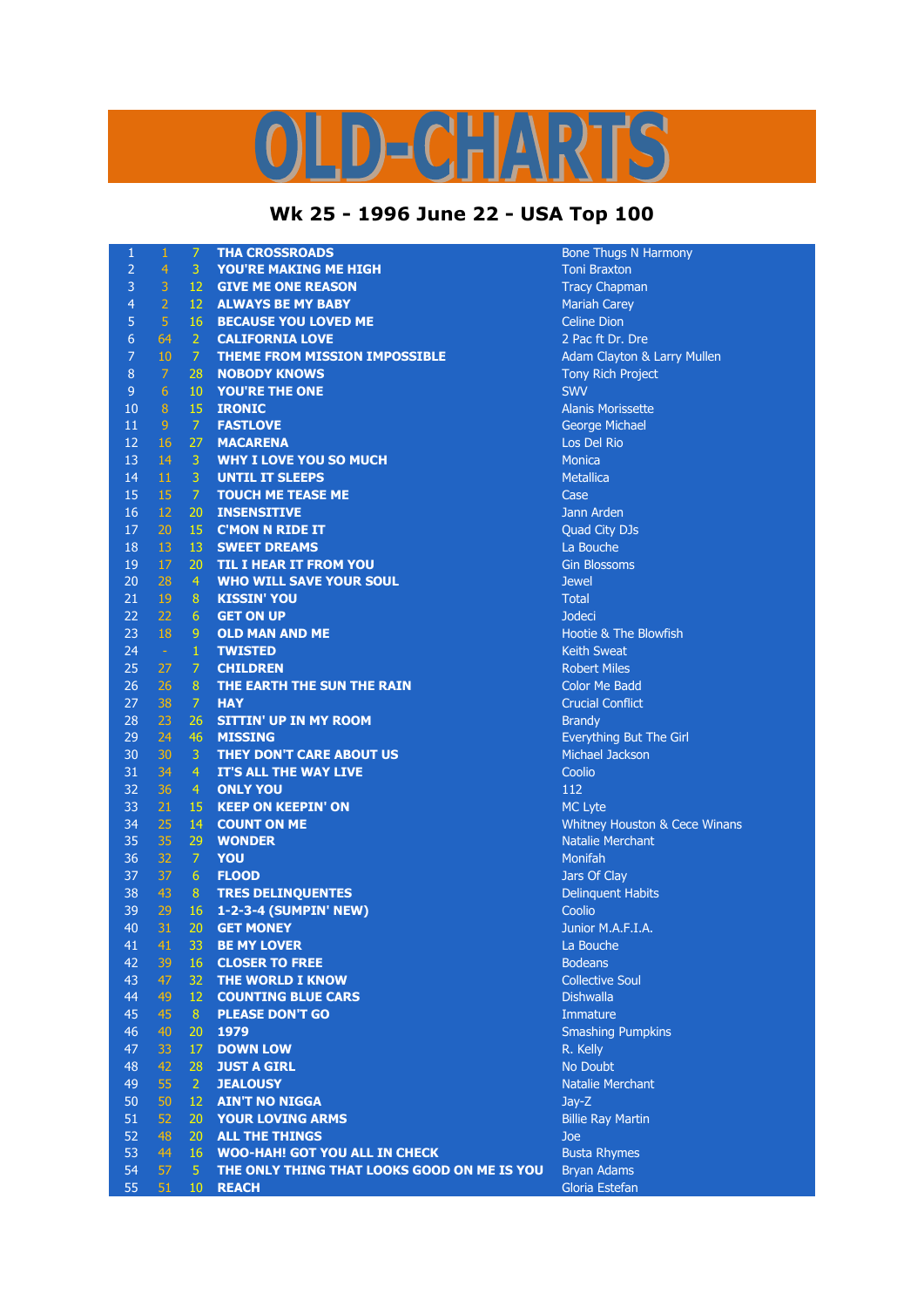## LD-CHARTS

## **Wk 25 - 1996 June 22 - USA Top 100**

| 1              | $\mathbf{1}$    | $\overline{7}$  | <b>THA CROSSROADS</b>                       | <b>Bone Thugs N Harmony</b>              |
|----------------|-----------------|-----------------|---------------------------------------------|------------------------------------------|
| $\overline{2}$ | $\overline{4}$  | 3               | <b>YOU'RE MAKING ME HIGH</b>                | <b>Toni Braxton</b>                      |
| 3              | 3               | $12 -$          | <b>GIVE ME ONE REASON</b>                   | <b>Tracy Chapman</b>                     |
| 4              | $\overline{2}$  | $12 -$          | <b>ALWAYS BE MY BABY</b>                    | <b>Mariah Carey</b>                      |
| 5              | $\overline{5}$  |                 | <b>16 BECAUSE YOU LOVED ME</b>              | <b>Celine Dion</b>                       |
| 6              | 64              | 2 <sup>7</sup>  | <b>CALIFORNIA LOVE</b>                      | 2 Pac ft Dr. Dre                         |
| $\overline{7}$ | 10              | 7 <sup>7</sup>  | <b>THEME FROM MISSION IMPOSSIBLE</b>        | Adam Clayton & Larry Mullen              |
| 8              | $\overline{7}$  | 28              | <b>NOBODY KNOWS</b>                         | Tony Rich Project                        |
| $\overline{9}$ | $6\phantom{1}$  | 10 <sup>°</sup> | YOU'RE THE ONE                              | <b>SWV</b>                               |
| 10             | $\, 8$          | 15              | <b>IRONIC</b>                               | <b>Alanis Morissette</b>                 |
| 11             | $\overline{9}$  | $\overline{7}$  | <b>FASTLOVE</b>                             | George Michael                           |
| 12             | 16              | 27              | <b>MACARENA</b>                             | Los Del Rio                              |
| 13             | 14              | 3 <sup>7</sup>  | <b>WHY I LOVE YOU SO MUCH</b>               | <b>Monica</b>                            |
| 14             | $11\,$          | 3 <sup>1</sup>  | <b>UNTIL IT SLEEPS</b>                      | <b>Metallica</b>                         |
| 15             | 15              | $\mathbb{Z}$    | <b>TOUCH ME TEASE ME</b>                    | Case                                     |
| 16             | 12 <sub>2</sub> | 20              | <b>INSENSITIVE</b>                          | Jann Arden                               |
| 17             | 20              | 15              | <b>C'MON N RIDE IT</b>                      | Quad City DJs                            |
| 18             | 13              | 13              | <b>SWEET DREAMS</b>                         | La Bouche                                |
| 19             | 17              | 20 <sub>2</sub> | TIL I HEAR IT FROM YOU                      | <b>Gin Blossoms</b>                      |
| 20             | 28              | $\overline{4}$  | <b>WHO WILL SAVE YOUR SOUL</b>              | <b>Jewel</b>                             |
| 21             | 19              | 8               | <b>KISSIN' YOU</b>                          | <b>Total</b>                             |
| 22             | 22              | 6 <sup>1</sup>  | <b>GET ON UP</b>                            | Jodeci                                   |
| 23             | 18              | 9               | <b>OLD MAN AND ME</b>                       | Hootie & The Blowfish                    |
| 24             | $\sim$          | $\mathbf{1}$    | <b>TWISTED</b>                              | <b>Keith Sweat</b>                       |
| 25             | 27              | $\mathcal{I}$   | <b>CHILDREN</b>                             | <b>Robert Miles</b>                      |
| 26             | 26              | 8 <sup>1</sup>  | THE EARTH THE SUN THE RAIN                  | <b>Color Me Badd</b>                     |
| 27             | 38              | $\mathcal{I}$   | <b>HAY</b>                                  | <b>Crucial Conflict</b>                  |
| 28             | 23              | 26              | <b>SITTIN' UP IN MY ROOM</b>                | <b>Brandy</b>                            |
| 29             | 24              | 46              | <b>MISSING</b>                              | Everything But The Girl                  |
| 30             | 30              | $\mathbf{3}$    | THEY DON'T CARE ABOUT US                    | Michael Jackson                          |
| 31             | 34              | $\overline{4}$  | IT'S ALL THE WAY LIVE                       | Coolio                                   |
| 32             | 36              | 4 <sup>1</sup>  | <b>ONLY YOU</b>                             | 112                                      |
| 33             | 21              | 15              | <b>KEEP ON KEEPIN' ON</b>                   | <b>MC Lyte</b>                           |
| 34             | 25              | 14              | <b>COUNT ON ME</b>                          | <b>Whitney Houston &amp; Cece Winans</b> |
| 35             | 35              | 29              | <b>WONDER</b>                               | <b>Natalie Merchant</b>                  |
| 36             | 32              | $\mathcal{I}$   | YOU                                         | Monifah                                  |
| 37             | 37              | 6 <sup>1</sup>  | <b>FLOOD</b>                                | Jars Of Clay                             |
| 38             | 43              |                 | 8 TRES DELINQUENTES                         | <b>Delinquent Habits</b>                 |
| 39             | 29              | 16              | 1-2-3-4 (SUMPIN' NEW)                       | Coolio                                   |
| 40             | 31              | 20              | <b>GET MONEY</b>                            | Junior M.A.F.I.A.                        |
| 41             | 41              | 33              | <b>BE MY LOVER</b>                          | La Bouche                                |
| 42             | 39              | 16              | <b>CLOSER TO FREE</b>                       | <b>Bodeans</b>                           |
| 43             | 47              | 32              | THE WORLD I KNOW                            | <b>Collective Soul</b>                   |
| 44             | 49              | 12              | <b>COUNTING BLUE CARS</b>                   | <b>Dishwalla</b>                         |
| 45             | 45              | 8 <sup>°</sup>  | <b>PLEASE DON'T GO</b>                      | Immature                                 |
| 46             | 40              | 20              | 1979                                        | Smashing Pumpkins                        |
| 47             | 33              | 17              | <b>DOWN LOW</b>                             | R. Kelly                                 |
| 48             | 42              | 28              | <b>JUST A GIRL</b>                          | No Doubt                                 |
| 49             | 55              | 2 <sup>1</sup>  | <b>JEALOUSY</b>                             | Natalie Merchant                         |
| 50             | 50              | 12              | <b>AIN'T NO NIGGA</b>                       | $Jay-Z$                                  |
| 51             | 52              | 20              | <b>YOUR LOVING ARMS</b>                     | <b>Billie Ray Martin</b>                 |
| 52             | 48              | 20              | <b>ALL THE THINGS</b>                       | Joe                                      |
| 53             | 44              | 16              | <b>WOO-HAH! GOT YOU ALL IN CHECK</b>        | <b>Busta Rhymes</b>                      |
| 54             | 57              | 5 <sup>1</sup>  | THE ONLY THING THAT LOOKS GOOD ON ME IS YOU | <b>Bryan Adams</b>                       |
| 55             | 51              | 10              | <b>REACH</b>                                | Gloria Estefan                           |